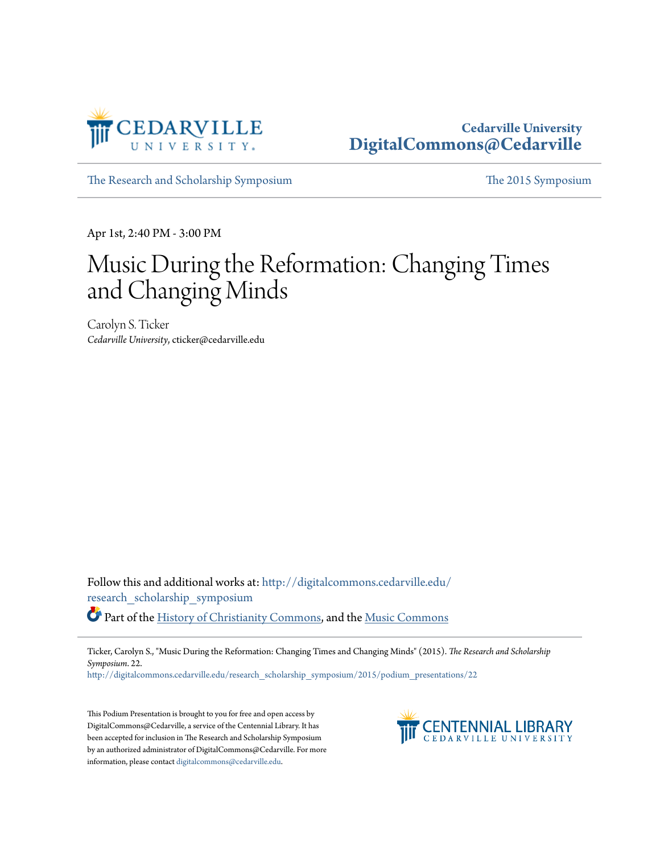

## **Cedarville University [DigitalCommons@Cedarville](http://digitalcommons.cedarville.edu?utm_source=digitalcommons.cedarville.edu%2Fresearch_scholarship_symposium%2F2015%2Fpodium_presentations%2F22&utm_medium=PDF&utm_campaign=PDFCoverPages)**

[The Research and Scholarship Symposium](http://digitalcommons.cedarville.edu/research_scholarship_symposium?utm_source=digitalcommons.cedarville.edu%2Fresearch_scholarship_symposium%2F2015%2Fpodium_presentations%2F22&utm_medium=PDF&utm_campaign=PDFCoverPages) [The 2015 Symposium](http://digitalcommons.cedarville.edu/research_scholarship_symposium/2015?utm_source=digitalcommons.cedarville.edu%2Fresearch_scholarship_symposium%2F2015%2Fpodium_presentations%2F22&utm_medium=PDF&utm_campaign=PDFCoverPages)

Apr 1st, 2:40 PM - 3:00 PM

# Music During the Reformation: Changing Times and Changing Minds

Carolyn S. Ticker *Cedarville University*, cticker@cedarville.edu

Follow this and additional works at: [http://digitalcommons.cedarville.edu/](http://digitalcommons.cedarville.edu/research_scholarship_symposium?utm_source=digitalcommons.cedarville.edu%2Fresearch_scholarship_symposium%2F2015%2Fpodium_presentations%2F22&utm_medium=PDF&utm_campaign=PDFCoverPages) [research\\_scholarship\\_symposium](http://digitalcommons.cedarville.edu/research_scholarship_symposium?utm_source=digitalcommons.cedarville.edu%2Fresearch_scholarship_symposium%2F2015%2Fpodium_presentations%2F22&utm_medium=PDF&utm_campaign=PDFCoverPages) Part of the [History of Christianity Commons,](http://network.bepress.com/hgg/discipline/1182?utm_source=digitalcommons.cedarville.edu%2Fresearch_scholarship_symposium%2F2015%2Fpodium_presentations%2F22&utm_medium=PDF&utm_campaign=PDFCoverPages) and the [Music Commons](http://network.bepress.com/hgg/discipline/518?utm_source=digitalcommons.cedarville.edu%2Fresearch_scholarship_symposium%2F2015%2Fpodium_presentations%2F22&utm_medium=PDF&utm_campaign=PDFCoverPages)

Ticker, Carolyn S., "Music During the Reformation: Changing Times and Changing Minds" (2015). *The Research and Scholarship Symposium*. 22.

[http://digitalcommons.cedarville.edu/research\\_scholarship\\_symposium/2015/podium\\_presentations/22](http://digitalcommons.cedarville.edu/research_scholarship_symposium/2015/podium_presentations/22?utm_source=digitalcommons.cedarville.edu%2Fresearch_scholarship_symposium%2F2015%2Fpodium_presentations%2F22&utm_medium=PDF&utm_campaign=PDFCoverPages)

This Podium Presentation is brought to you for free and open access by DigitalCommons@Cedarville, a service of the Centennial Library. It has been accepted for inclusion in The Research and Scholarship Symposium by an authorized administrator of DigitalCommons@Cedarville. For more information, please contact [digitalcommons@cedarville.edu.](mailto:digitalcommons@cedarville.edu)

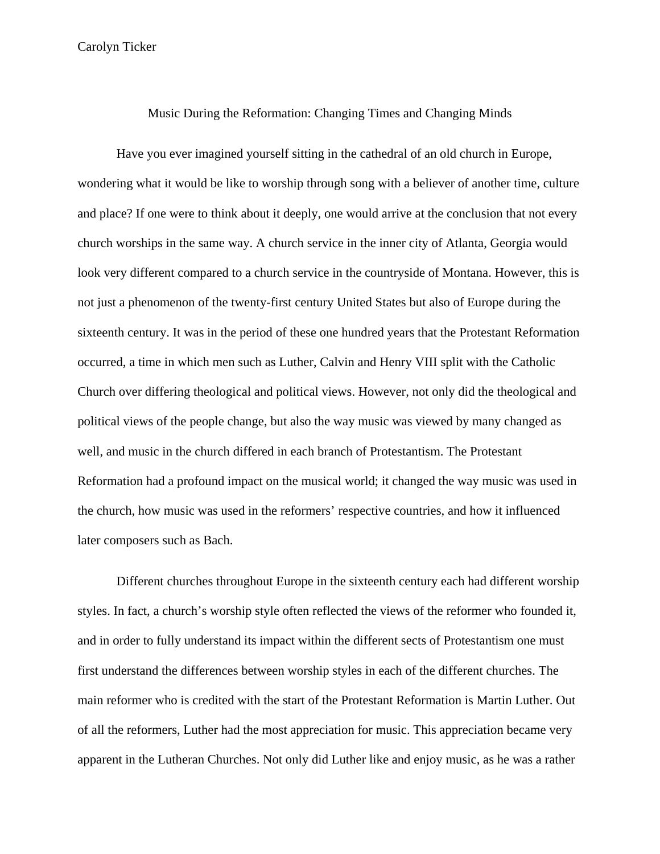### Music During the Reformation: Changing Times and Changing Minds

Have you ever imagined yourself sitting in the cathedral of an old church in Europe, wondering what it would be like to worship through song with a believer of another time, culture and place? If one were to think about it deeply, one would arrive at the conclusion that not every church worships in the same way. A church service in the inner city of Atlanta, Georgia would look very different compared to a church service in the countryside of Montana. However, this is not just a phenomenon of the twenty-first century United States but also of Europe during the sixteenth century. It was in the period of these one hundred years that the Protestant Reformation occurred, a time in which men such as Luther, Calvin and Henry VIII split with the Catholic Church over differing theological and political views. However, not only did the theological and political views of the people change, but also the way music was viewed by many changed as well, and music in the church differed in each branch of Protestantism. The Protestant Reformation had a profound impact on the musical world; it changed the way music was used in the church, how music was used in the reformers' respective countries, and how it influenced later composers such as Bach.

Different churches throughout Europe in the sixteenth century each had different worship styles. In fact, a church's worship style often reflected the views of the reformer who founded it, and in order to fully understand its impact within the different sects of Protestantism one must first understand the differences between worship styles in each of the different churches. The main reformer who is credited with the start of the Protestant Reformation is Martin Luther. Out of all the reformers, Luther had the most appreciation for music. This appreciation became very apparent in the Lutheran Churches. Not only did Luther like and enjoy music, as he was a rather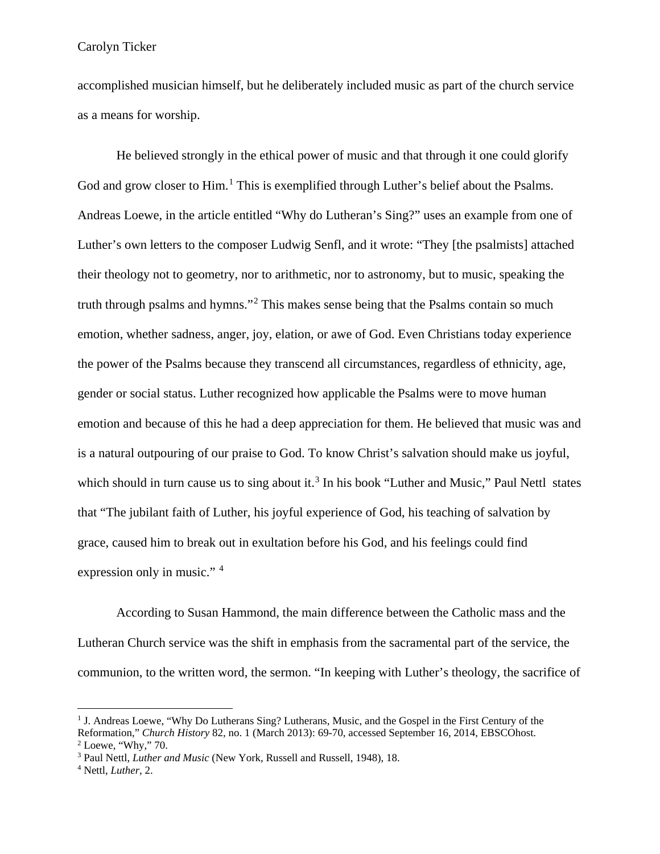accomplished musician himself, but he deliberately included music as part of the church service as a means for worship.

He believed strongly in the ethical power of music and that through it one could glorify God and grow closer to Him.<sup>[1](#page-2-0)</sup> This is exemplified through Luther's belief about the Psalms. Andreas Loewe, in the article entitled "Why do Lutheran's Sing?" uses an example from one of Luther's own letters to the composer Ludwig Senfl, and it wrote: "They [the psalmists] attached their theology not to geometry, nor to arithmetic, nor to astronomy, but to music, speaking the truth through psalms and hymns."[2](#page-2-1) This makes sense being that the Psalms contain so much emotion, whether sadness, anger, joy, elation, or awe of God. Even Christians today experience the power of the Psalms because they transcend all circumstances, regardless of ethnicity, age, gender or social status. Luther recognized how applicable the Psalms were to move human emotion and because of this he had a deep appreciation for them. He believed that music was and is a natural outpouring of our praise to God. To know Christ's salvation should make us joyful, which should in turn cause us to sing about it.<sup>[3](#page-2-2)</sup> In his book "Luther and Music," Paul Nettl states that "The jubilant faith of Luther, his joyful experience of God, his teaching of salvation by grace, caused him to break out in exultation before his God, and his feelings could find expression only in music." [4](#page-2-3)

According to Susan Hammond, the main difference between the Catholic mass and the Lutheran Church service was the shift in emphasis from the sacramental part of the service, the communion, to the written word, the sermon. "In keeping with Luther's theology, the sacrifice of

<span id="page-2-0"></span><sup>&</sup>lt;sup>1</sup> J. Andreas Loewe, "Why Do Lutherans Sing? Lutherans, Music, and the Gospel in the First Century of the Reformation," *Church History* 82, no. 1 (March 2013): 69-70, accessed September 16, 2014, EBSCOhost.

<span id="page-2-2"></span><span id="page-2-1"></span><sup>&</sup>lt;sup>3</sup> Paul Nettl, *Luther and Music* (New York, Russell and Russell, 1948), 18. 4 Nettl, *Luther*, 2.

<span id="page-2-3"></span>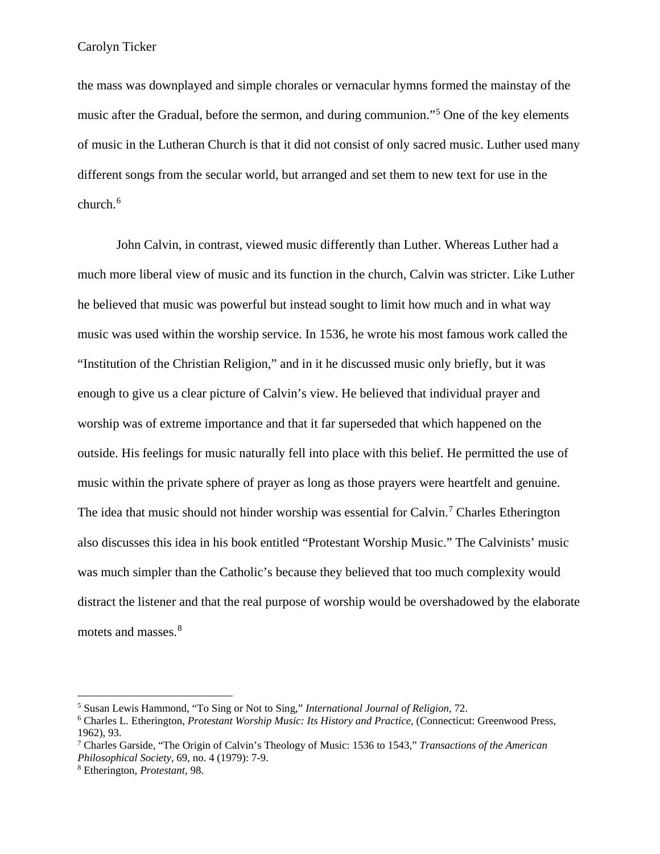the mass was downplayed and simple chorales or vernacular hymns formed the mainstay of the music after the Gradual, before the sermon, and during communion."[5](#page-3-0) One of the key elements of music in the Lutheran Church is that it did not consist of only sacred music. Luther used many different songs from the secular world, but arranged and set them to new text for use in the church.<sup>[6](#page-3-1)</sup>

John Calvin, in contrast, viewed music differently than Luther. Whereas Luther had a much more liberal view of music and its function in the church, Calvin was stricter. Like Luther he believed that music was powerful but instead sought to limit how much and in what way music was used within the worship service. In 1536, he wrote his most famous work called the "Institution of the Christian Religion," and in it he discussed music only briefly, but it was enough to give us a clear picture of Calvin's view. He believed that individual prayer and worship was of extreme importance and that it far superseded that which happened on the outside. His feelings for music naturally fell into place with this belief. He permitted the use of music within the private sphere of prayer as long as those prayers were heartfelt and genuine. The idea that music should not hinder worship was essential for Calvin.<sup>[7](#page-3-2)</sup> Charles Etherington also discusses this idea in his book entitled "Protestant Worship Music." The Calvinists' music was much simpler than the Catholic's because they believed that too much complexity would distract the listener and that the real purpose of worship would be overshadowed by the elaborate motets and masses.<sup>[8](#page-3-3)</sup>

<span id="page-3-1"></span>

<span id="page-3-0"></span><sup>5</sup> Susan Lewis Hammond, "To Sing or Not to Sing," *International Journal of Religion,* 72. 6 Charles L. Etherington, *Protestant Worship Music: Its History and Practice,* (Connecticut: Greenwood Press, 1962), 93. 7 Charles Garside, "The Origin of Calvin's Theology of Music: 1536 to 1543," *Transactions of the American* 

<span id="page-3-2"></span>*Philosophical Society,* 69, no. 4 (1979): 7-9. 8 Etherington, *Protestant,* 98.

<span id="page-3-3"></span>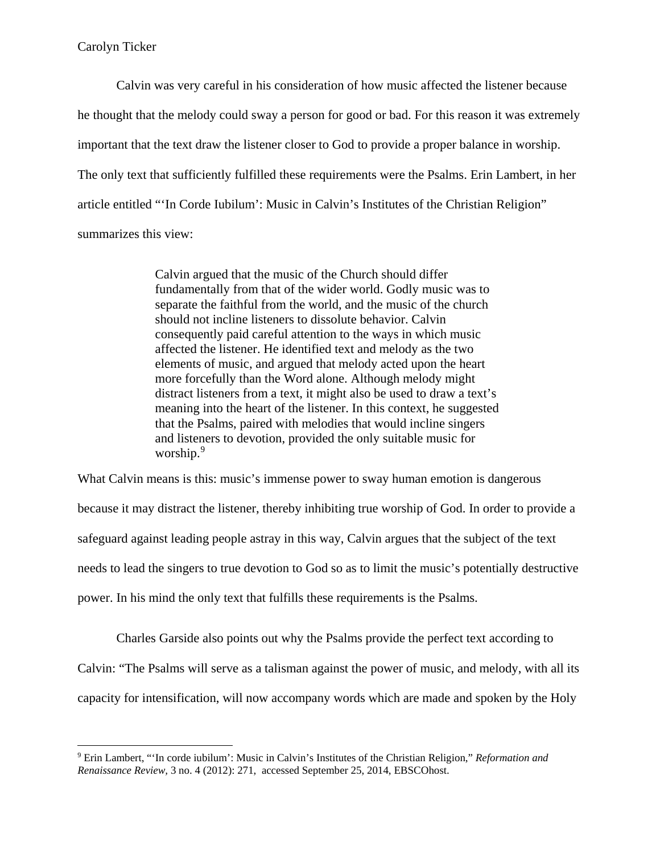$\overline{a}$ 

Calvin was very careful in his consideration of how music affected the listener because he thought that the melody could sway a person for good or bad. For this reason it was extremely important that the text draw the listener closer to God to provide a proper balance in worship. The only text that sufficiently fulfilled these requirements were the Psalms. Erin Lambert, in her article entitled "'In Corde Iubilum': Music in Calvin's Institutes of the Christian Religion" summarizes this view:

> Calvin argued that the music of the Church should differ fundamentally from that of the wider world. Godly music was to separate the faithful from the world, and the music of the church should not incline listeners to dissolute behavior. Calvin consequently paid careful attention to the ways in which music affected the listener. He identified text and melody as the two elements of music, and argued that melody acted upon the heart more forcefully than the Word alone. Although melody might distract listeners from a text, it might also be used to draw a text's meaning into the heart of the listener. In this context, he suggested that the Psalms, paired with melodies that would incline singers and listeners to devotion, provided the only suitable music for worship.<sup>[9](#page-4-0)</sup>

What Calvin means is this: music's immense power to sway human emotion is dangerous because it may distract the listener, thereby inhibiting true worship of God. In order to provide a safeguard against leading people astray in this way, Calvin argues that the subject of the text needs to lead the singers to true devotion to God so as to limit the music's potentially destructive power. In his mind the only text that fulfills these requirements is the Psalms.

Charles Garside also points out why the Psalms provide the perfect text according to Calvin: "The Psalms will serve as a talisman against the power of music, and melody, with all its capacity for intensification, will now accompany words which are made and spoken by the Holy

<span id="page-4-0"></span><sup>9</sup> Erin Lambert, "'In corde iubilum': Music in Calvin's Institutes of the Christian Religion," *Reformation and Renaissance Review,* 3 no. 4 (2012): 271, accessed September 25, 2014, EBSCOhost.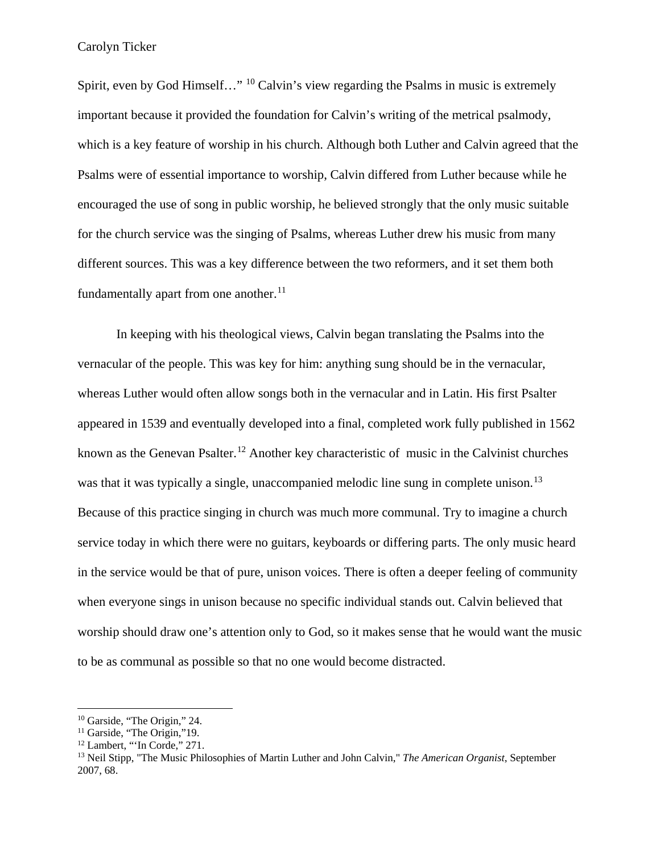Spirit, even by God Himself..." <sup>[10](#page-5-0)</sup> Calvin's view regarding the Psalms in music is extremely important because it provided the foundation for Calvin's writing of the metrical psalmody, which is a key feature of worship in his church. Although both Luther and Calvin agreed that the Psalms were of essential importance to worship, Calvin differed from Luther because while he encouraged the use of song in public worship, he believed strongly that the only music suitable for the church service was the singing of Psalms, whereas Luther drew his music from many different sources. This was a key difference between the two reformers, and it set them both fundamentally apart from one another. $^{11}$  $^{11}$  $^{11}$ 

In keeping with his theological views, Calvin began translating the Psalms into the vernacular of the people. This was key for him: anything sung should be in the vernacular, whereas Luther would often allow songs both in the vernacular and in Latin. His first Psalter appeared in 1539 and eventually developed into a final, completed work fully published in 1562 known as the Genevan Psalter.<sup>[12](#page-5-2)</sup> Another key characteristic of music in the Calvinist churches was that it was typically a single, unaccompanied melodic line sung in complete unison.<sup>[13](#page-5-3)</sup> Because of this practice singing in church was much more communal. Try to imagine a church service today in which there were no guitars, keyboards or differing parts. The only music heard in the service would be that of pure, unison voices. There is often a deeper feeling of community when everyone sings in unison because no specific individual stands out. Calvin believed that worship should draw one's attention only to God, so it makes sense that he would want the music to be as communal as possible so that no one would become distracted.

<span id="page-5-3"></span><span id="page-5-2"></span>

<span id="page-5-1"></span><span id="page-5-0"></span><sup>&</sup>lt;sup>10</sup> Garside, "The Origin," 24.<br><sup>11</sup> Garside, "The Origin," 19.<br><sup>12</sup> Lambert, "'In Corde," 271.<br><sup>13</sup> Neil Stipp, "The Music Philosophies of Martin Luther and John Calvin," *The American Organist*, September 2007, 68.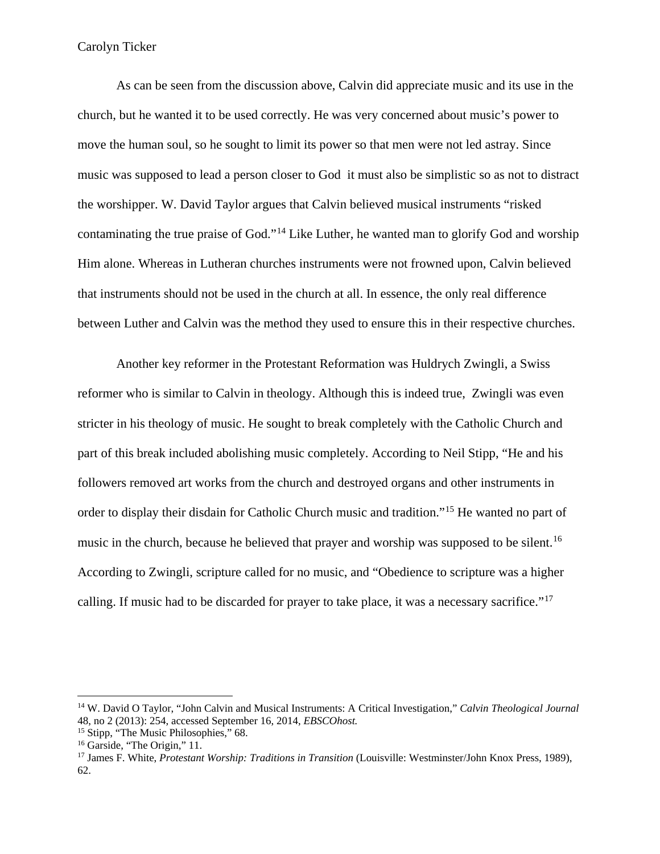As can be seen from the discussion above, Calvin did appreciate music and its use in the church, but he wanted it to be used correctly. He was very concerned about music's power to move the human soul, so he sought to limit its power so that men were not led astray. Since music was supposed to lead a person closer to God it must also be simplistic so as not to distract the worshipper. W. David Taylor argues that Calvin believed musical instruments "risked contaminating the true praise of God."[14](#page-6-0) Like Luther, he wanted man to glorify God and worship Him alone. Whereas in Lutheran churches instruments were not frowned upon, Calvin believed that instruments should not be used in the church at all. In essence, the only real difference between Luther and Calvin was the method they used to ensure this in their respective churches.

Another key reformer in the Protestant Reformation was Huldrych Zwingli, a Swiss reformer who is similar to Calvin in theology. Although this is indeed true, Zwingli was even stricter in his theology of music. He sought to break completely with the Catholic Church and part of this break included abolishing music completely. According to Neil Stipp, "He and his followers removed art works from the church and destroyed organs and other instruments in order to display their disdain for Catholic Church music and tradition."[15](#page-6-1) He wanted no part of music in the church, because he believed that prayer and worship was supposed to be silent.<sup>[16](#page-6-2)</sup> According to Zwingli, scripture called for no music, and "Obedience to scripture was a higher calling. If music had to be discarded for prayer to take place, it was a necessary sacrifice."<sup>[17](#page-6-3)</sup>

<span id="page-6-0"></span><sup>14</sup> W. David O Taylor, "John Calvin and Musical Instruments: A Critical Investigation," *Calvin Theological Journal*  48, no 2 (2013): 254, accessed September 16, 2014, *EBSCOhost.* 

<span id="page-6-3"></span>

<span id="page-6-2"></span><span id="page-6-1"></span><sup>&</sup>lt;sup>15</sup> Stipp, "The Music Philosophies," 68.<br><sup>16</sup> Garside, "The Origin," 11.<br><sup>17</sup> James F. White, *Protestant Worship: Traditions in Transition* (Louisville: Westminster/John Knox Press, 1989), 62.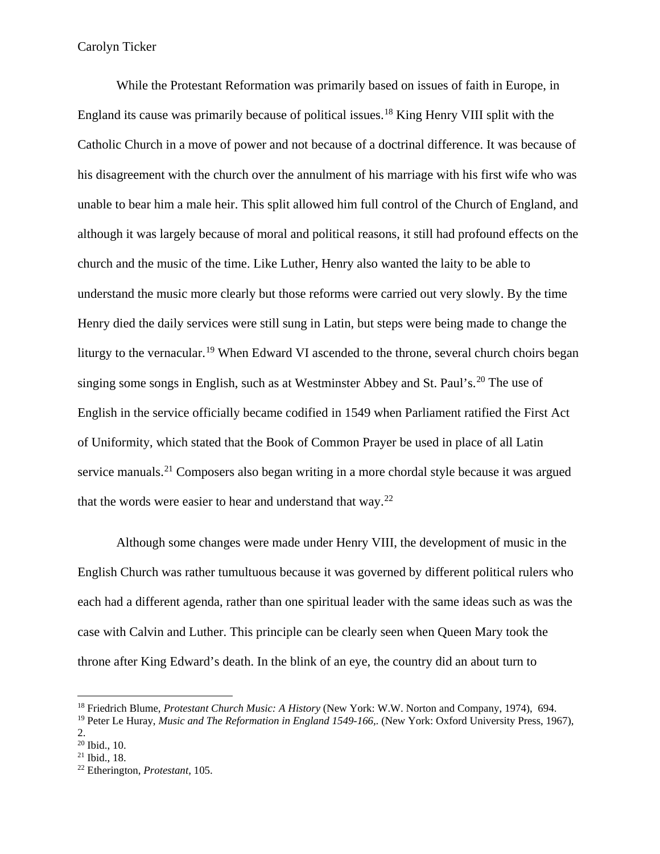While the Protestant Reformation was primarily based on issues of faith in Europe, in England its cause was primarily because of political issues.[18](#page-7-0) King Henry VIII split with the Catholic Church in a move of power and not because of a doctrinal difference. It was because of his disagreement with the church over the annulment of his marriage with his first wife who was unable to bear him a male heir. This split allowed him full control of the Church of England, and although it was largely because of moral and political reasons, it still had profound effects on the church and the music of the time. Like Luther, Henry also wanted the laity to be able to understand the music more clearly but those reforms were carried out very slowly. By the time Henry died the daily services were still sung in Latin, but steps were being made to change the liturgy to the vernacular.<sup>[19](#page-7-1)</sup> When Edward VI ascended to the throne, several church choirs began singing some songs in English, such as at Westminster Abbey and St. Paul's.<sup>[20](#page-7-2)</sup> The use of English in the service officially became codified in 1549 when Parliament ratified the First Act of Uniformity, which stated that the Book of Common Prayer be used in place of all Latin service manuals.<sup>[21](#page-7-3)</sup> Composers also began writing in a more chordal style because it was argued that the words were easier to hear and understand that way. $^{22}$  $^{22}$  $^{22}$ 

Although some changes were made under Henry VIII, the development of music in the English Church was rather tumultuous because it was governed by different political rulers who each had a different agenda, rather than one spiritual leader with the same ideas such as was the case with Calvin and Luther. This principle can be clearly seen when Queen Mary took the throne after King Edward's death. In the blink of an eye, the country did an about turn to

<span id="page-7-0"></span><sup>18</sup> Friedrich Blume, *Protestant Church Music: A History* (New York: W.W. Norton and Company, 1974), 694.

<span id="page-7-1"></span><sup>&</sup>lt;sup>19</sup> Peter Le Huray, *Music and The Reformation in England 1549-166*,. (New York: Oxford University Press, 1967),

<sup>2.</sup> 

<span id="page-7-4"></span>

<span id="page-7-3"></span><span id="page-7-2"></span><sup>20</sup> Ibid., 10. 21 Ibid., 18. 22 Etherington, *Protestant,* 105.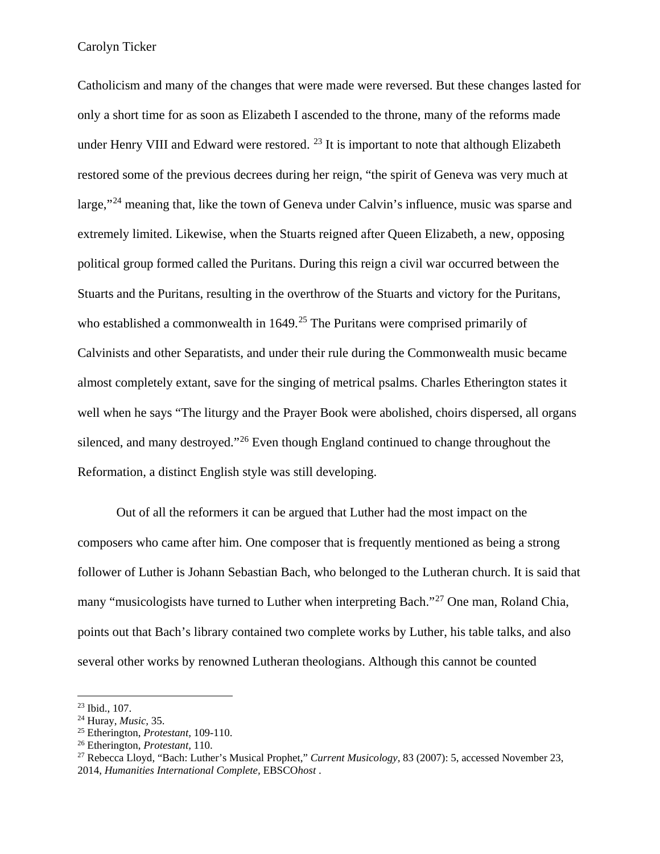Catholicism and many of the changes that were made were reversed. But these changes lasted for only a short time for as soon as Elizabeth I ascended to the throne, many of the reforms made under Henry VIII and Edward were restored.  $^{23}$  $^{23}$  $^{23}$  It is important to note that although Elizabeth restored some of the previous decrees during her reign, "the spirit of Geneva was very much at large,"[24](#page-8-1) meaning that, like the town of Geneva under Calvin's influence, music was sparse and extremely limited. Likewise, when the Stuarts reigned after Queen Elizabeth, a new, opposing political group formed called the Puritans. During this reign a civil war occurred between the Stuarts and the Puritans, resulting in the overthrow of the Stuarts and victory for the Puritans, who established a commonwealth in  $1649$ <sup>[25](#page-8-2)</sup>. The Puritans were comprised primarily of Calvinists and other Separatists, and under their rule during the Commonwealth music became almost completely extant, save for the singing of metrical psalms. Charles Etherington states it well when he says "The liturgy and the Prayer Book were abolished, choirs dispersed, all organs silenced, and many destroyed."<sup>[26](#page-8-3)</sup> Even though England continued to change throughout the Reformation, a distinct English style was still developing.

Out of all the reformers it can be argued that Luther had the most impact on the composers who came after him. One composer that is frequently mentioned as being a strong follower of Luther is Johann Sebastian Bach, who belonged to the Lutheran church. It is said that many "musicologists have turned to Luther when interpreting Bach."[27](#page-8-4) One man, Roland Chia, points out that Bach's library contained two complete works by Luther, his table talks, and also several other works by renowned Lutheran theologians. Although this cannot be counted

<span id="page-8-2"></span>

<span id="page-8-4"></span><span id="page-8-3"></span>

<span id="page-8-1"></span><span id="page-8-0"></span><sup>&</sup>lt;sup>23</sup> Ibid., 107.<br><sup>24</sup> Huray, *Music*, 35.<br><sup>25</sup> Etherington, *Protestant*, 109-110.<br><sup>26</sup> Etherington, *Protestant*, 110.<br><sup>27</sup> Rebecca Lloyd, "Bach: Luther's Musical Prophet," *Current Musicology*, 83 (2007): 5, accessed No 2014, *Humanities International Complete,* EBSCO*host* .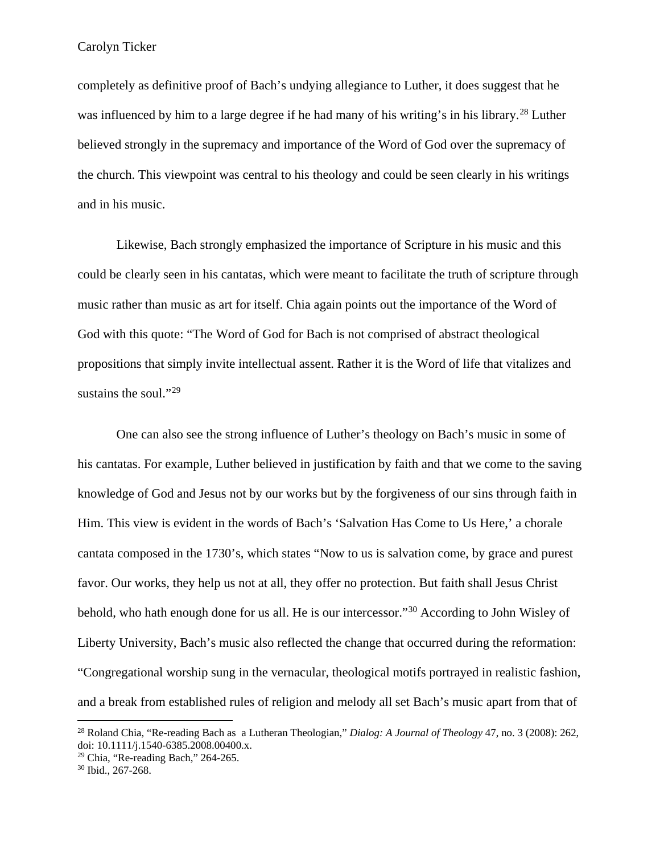completely as definitive proof of Bach's undying allegiance to Luther, it does suggest that he was influenced by him to a large degree if he had many of his writing's in his library.<sup>[28](#page-9-0)</sup> Luther believed strongly in the supremacy and importance of the Word of God over the supremacy of the church. This viewpoint was central to his theology and could be seen clearly in his writings and in his music.

Likewise, Bach strongly emphasized the importance of Scripture in his music and this could be clearly seen in his cantatas, which were meant to facilitate the truth of scripture through music rather than music as art for itself. Chia again points out the importance of the Word of God with this quote: "The Word of God for Bach is not comprised of abstract theological propositions that simply invite intellectual assent. Rather it is the Word of life that vitalizes and sustains the soul."<sup>[29](#page-9-1)</sup>

One can also see the strong influence of Luther's theology on Bach's music in some of his cantatas. For example, Luther believed in justification by faith and that we come to the saving knowledge of God and Jesus not by our works but by the forgiveness of our sins through faith in Him. This view is evident in the words of Bach's 'Salvation Has Come to Us Here,' a chorale cantata composed in the 1730's, which states "Now to us is salvation come, by grace and purest favor. Our works, they help us not at all, they offer no protection. But faith shall Jesus Christ behold, who hath enough done for us all. He is our intercessor."[30](#page-9-2) According to John Wisley of Liberty University, Bach's music also reflected the change that occurred during the reformation: "Congregational worship sung in the vernacular, theological motifs portrayed in realistic fashion, and a break from established rules of religion and melody all set Bach's music apart from that of

<span id="page-9-0"></span><sup>&</sup>lt;sup>28</sup> Roland Chia, "Re-reading Bach as a Lutheran Theologian," *Dialog: A Journal of Theology* 47, no. 3 (2008): 262, doi: 10.1111/j.1540-6385.2008.00400.x.

<span id="page-9-2"></span><span id="page-9-1"></span><sup>&</sup>lt;sup>29</sup> Chia, "Re-reading Bach," 264-265. <sup>30</sup> Ibid., 267-268.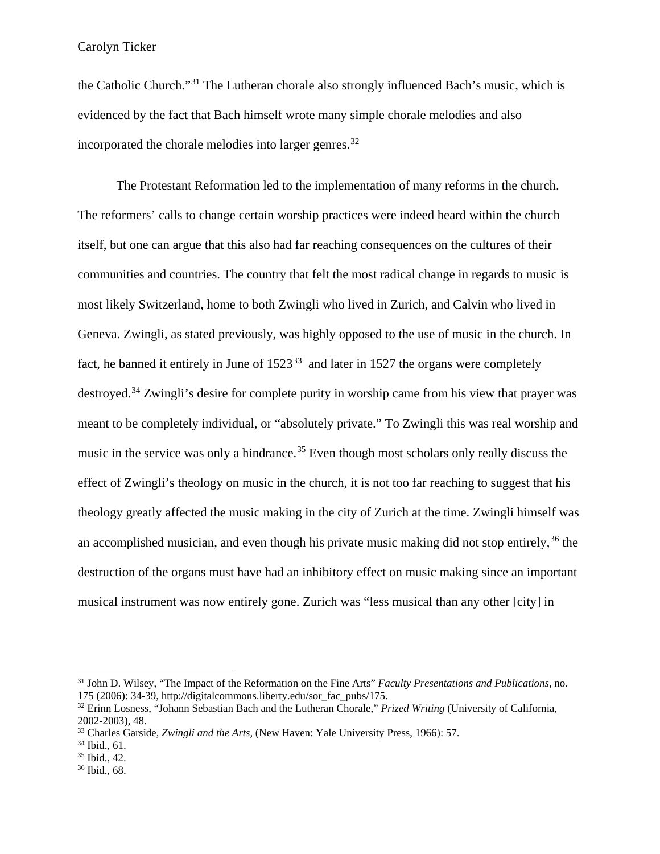the Catholic Church."[31](#page-10-0) The Lutheran chorale also strongly influenced Bach's music, which is evidenced by the fact that Bach himself wrote many simple chorale melodies and also incorporated the chorale melodies into larger genres.[32](#page-10-1)

The Protestant Reformation led to the implementation of many reforms in the church. The reformers' calls to change certain worship practices were indeed heard within the church itself, but one can argue that this also had far reaching consequences on the cultures of their communities and countries. The country that felt the most radical change in regards to music is most likely Switzerland, home to both Zwingli who lived in Zurich, and Calvin who lived in Geneva. Zwingli, as stated previously, was highly opposed to the use of music in the church. In fact, he banned it entirely in June of  $1523^{33}$  $1523^{33}$  $1523^{33}$  and later in 1527 the organs were completely destroyed.<sup>[34](#page-10-3)</sup> Zwingli's desire for complete purity in worship came from his view that prayer was meant to be completely individual, or "absolutely private." To Zwingli this was real worship and music in the service was only a hindrance.<sup>[35](#page-10-4)</sup> Even though most scholars only really discuss the effect of Zwingli's theology on music in the church, it is not too far reaching to suggest that his theology greatly affected the music making in the city of Zurich at the time. Zwingli himself was an accomplished musician, and even though his private music making did not stop entirely,  $36$  the destruction of the organs must have had an inhibitory effect on music making since an important musical instrument was now entirely gone. Zurich was "less musical than any other [city] in

<span id="page-10-0"></span><sup>&</sup>lt;sup>31</sup> John D. Wilsey, "The Impact of the Reformation on the Fine Arts" *Faculty Presentations and Publications*, no. 175 (2006): 34-39, http://digitalcommons.liberty.edu/sor fac pubs/175.

<span id="page-10-1"></span><sup>&</sup>lt;sup>32</sup> Erinn Losness, "Johann Sebastian Bach and the Lutheran Chorale," *Prized Writing* (University of California, 2002-2003), 48. 33 Charles Garside, *Zwingli and the Arts,* (New Haven: Yale University Press, 1966): 57. 34 Ibid., 61. 35 Ibid., 42. 36 Ibid., 68.

<span id="page-10-3"></span><span id="page-10-2"></span>

<span id="page-10-4"></span>

<span id="page-10-5"></span>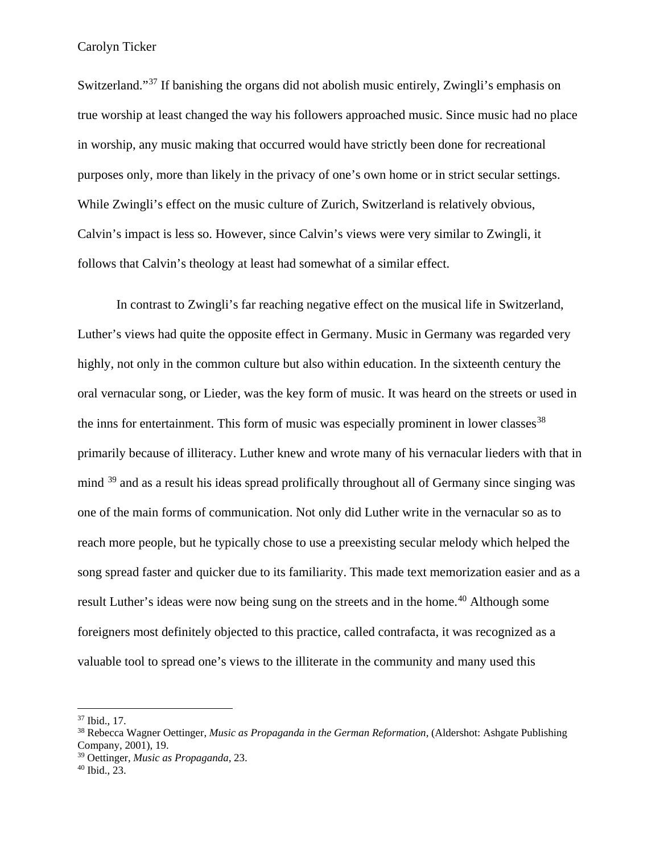Switzerland."<sup>[37](#page-11-0)</sup> If banishing the organs did not abolish music entirely, Zwingli's emphasis on true worship at least changed the way his followers approached music. Since music had no place in worship, any music making that occurred would have strictly been done for recreational purposes only, more than likely in the privacy of one's own home or in strict secular settings. While Zwingli's effect on the music culture of Zurich, Switzerland is relatively obvious, Calvin's impact is less so. However, since Calvin's views were very similar to Zwingli, it follows that Calvin's theology at least had somewhat of a similar effect.

In contrast to Zwingli's far reaching negative effect on the musical life in Switzerland, Luther's views had quite the opposite effect in Germany. Music in Germany was regarded very highly, not only in the common culture but also within education. In the sixteenth century the oral vernacular song, or Lieder, was the key form of music. It was heard on the streets or used in the inns for entertainment. This form of music was especially prominent in lower classes  $38$ primarily because of illiteracy. Luther knew and wrote many of his vernacular lieders with that in mind <sup>[39](#page-11-2)</sup> and as a result his ideas spread prolifically throughout all of Germany since singing was one of the main forms of communication. Not only did Luther write in the vernacular so as to reach more people, but he typically chose to use a preexisting secular melody which helped the song spread faster and quicker due to its familiarity. This made text memorization easier and as a result Luther's ideas were now being sung on the streets and in the home.<sup>[40](#page-11-3)</sup> Although some foreigners most definitely objected to this practice, called contrafacta, it was recognized as a valuable tool to spread one's views to the illiterate in the community and many used this

<span id="page-11-1"></span><span id="page-11-0"></span><sup>&</sup>lt;sup>37</sup> Ibid., 17.<br><sup>38</sup> Rebecca Wagner Oettinger, *Music as Propaganda in the German Reformation*, (Aldershot: Ashgate Publishing Company, 2001), 19.

<span id="page-11-3"></span><span id="page-11-2"></span><sup>39</sup> Oettinger, *Music as Propaganda,* 23. 40 Ibid., 23.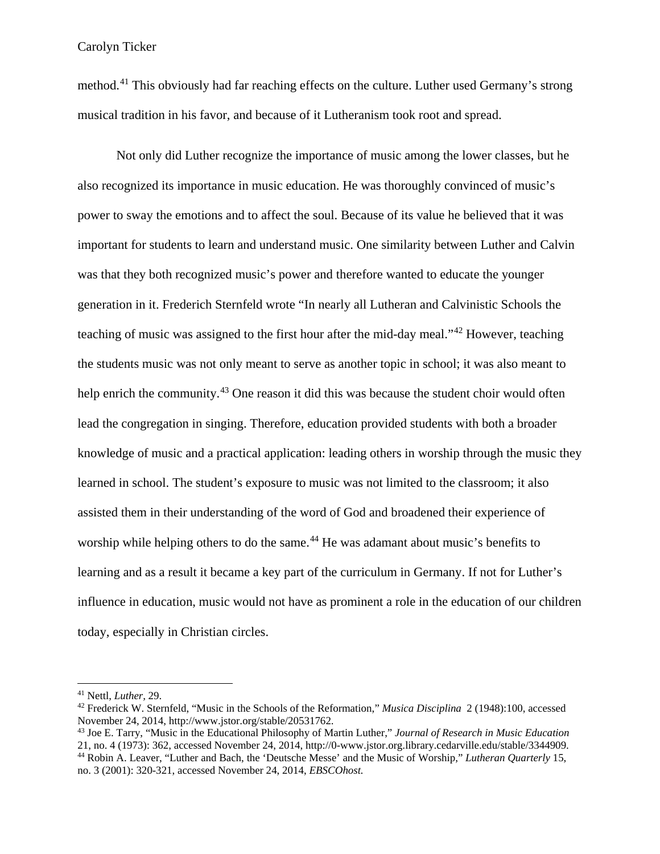method.<sup>[41](#page-12-0)</sup> This obviously had far reaching effects on the culture. Luther used Germany's strong musical tradition in his favor, and because of it Lutheranism took root and spread.

Not only did Luther recognize the importance of music among the lower classes, but he also recognized its importance in music education. He was thoroughly convinced of music's power to sway the emotions and to affect the soul. Because of its value he believed that it was important for students to learn and understand music. One similarity between Luther and Calvin was that they both recognized music's power and therefore wanted to educate the younger generation in it. Frederich Sternfeld wrote "In nearly all Lutheran and Calvinistic Schools the teaching of music was assigned to the first hour after the mid-day meal."[42](#page-12-1) However, teaching the students music was not only meant to serve as another topic in school; it was also meant to help enrich the community.<sup>[43](#page-12-2)</sup> One reason it did this was because the student choir would often lead the congregation in singing. Therefore, education provided students with both a broader knowledge of music and a practical application: leading others in worship through the music they learned in school. The student's exposure to music was not limited to the classroom; it also assisted them in their understanding of the word of God and broadened their experience of worship while helping others to do the same.<sup>[44](#page-12-3)</sup> He was adamant about music's benefits to learning and as a result it became a key part of the curriculum in Germany. If not for Luther's influence in education, music would not have as prominent a role in the education of our children today, especially in Christian circles.

<span id="page-12-1"></span><span id="page-12-0"></span><sup>41</sup> Nettl, *Luther,* 29. 42 Frederick W. Sternfeld, "Music in the Schools of the Reformation," *Musica Disciplina* 2 (1948):100, accessed

<span id="page-12-3"></span><span id="page-12-2"></span>November 24, 2014, http://www.jstor.org/stable/20531762.<br><sup>43</sup> Joe E. Tarry, "Music in the Educational Philosophy of Martin Luther," *Journal of Research in Music Education*<br>21, no. 4 (1973): 362, accessed November 24, 2014 <sup>44</sup> Robin A. Leaver, "Luther and Bach, the 'Deutsche Messe' and the Music of Worship," Lutheran Quarterly 15, no. 3 (2001): 320-321, accessed November 24, 2014, *EBSCOhost.*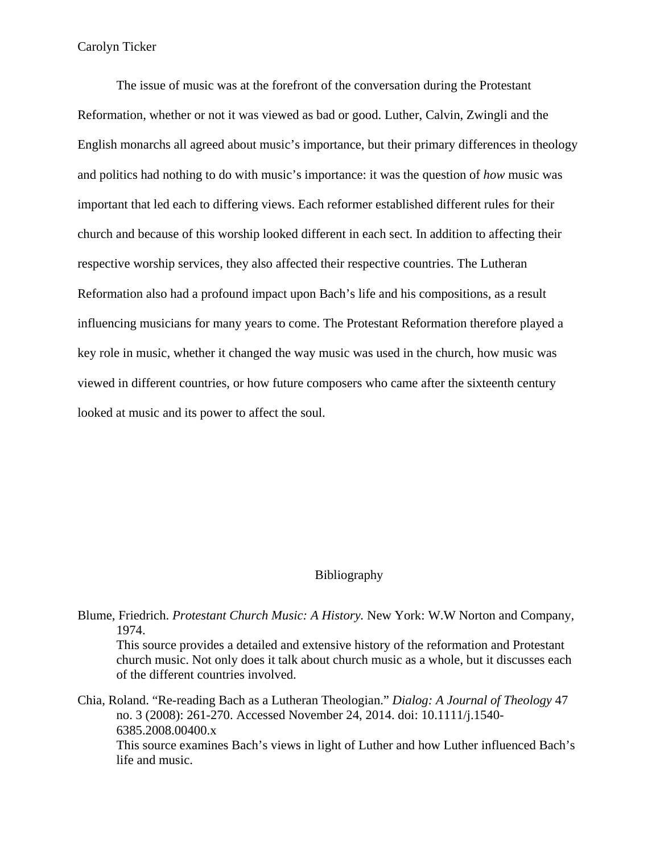The issue of music was at the forefront of the conversation during the Protestant Reformation, whether or not it was viewed as bad or good. Luther, Calvin, Zwingli and the English monarchs all agreed about music's importance, but their primary differences in theology and politics had nothing to do with music's importance: it was the question of *how* music was important that led each to differing views. Each reformer established different rules for their church and because of this worship looked different in each sect. In addition to affecting their respective worship services, they also affected their respective countries. The Lutheran Reformation also had a profound impact upon Bach's life and his compositions, as a result influencing musicians for many years to come. The Protestant Reformation therefore played a key role in music, whether it changed the way music was used in the church, how music was viewed in different countries, or how future composers who came after the sixteenth century looked at music and its power to affect the soul.

#### Bibliography

Blume, Friedrich. *Protestant Church Music: A History.* New York: W.W Norton and Company, 1974.

This source provides a detailed and extensive history of the reformation and Protestant church music. Not only does it talk about church music as a whole, but it discusses each of the different countries involved.

Chia, Roland. "Re-reading Bach as a Lutheran Theologian." *Dialog: A Journal of Theology* 47 no. 3 (2008): 261-270. Accessed November 24, 2014. doi: 10.1111/j.1540- 6385.2008.00400.x This source examines Bach's views in light of Luther and how Luther influenced Bach's life and music.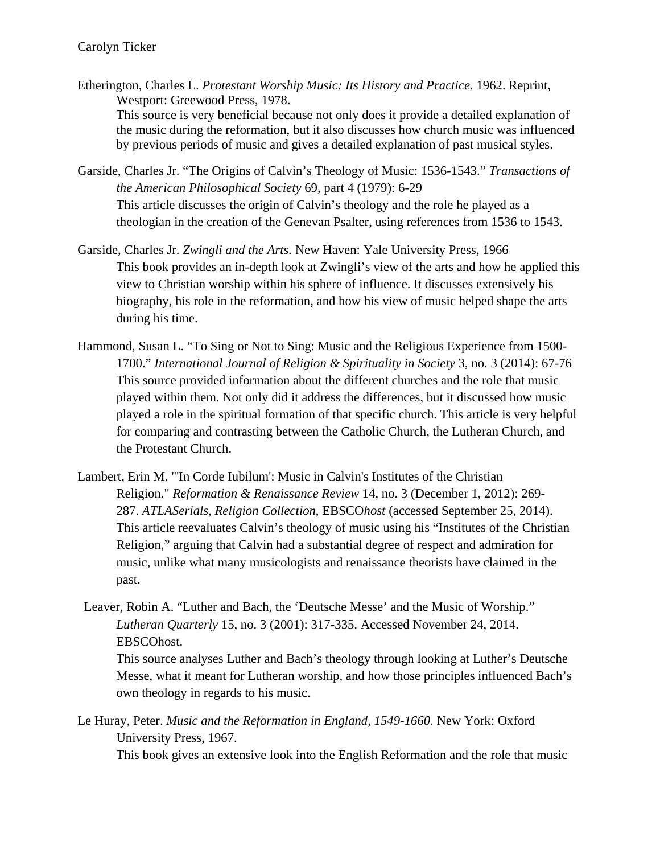- Etherington, Charles L. *Protestant Worship Music: Its History and Practice.* 1962. Reprint, Westport: Greewood Press, 1978. This source is very beneficial because not only does it provide a detailed explanation of the music during the reformation, but it also discusses how church music was influenced by previous periods of music and gives a detailed explanation of past musical styles.
- Garside, Charles Jr. "The Origins of Calvin's Theology of Music: 1536-1543." *Transactions of the American Philosophical Society* 69, part 4 (1979): 6-29 This article discusses the origin of Calvin's theology and the role he played as a theologian in the creation of the Genevan Psalter, using references from 1536 to 1543.
- Garside, Charles Jr. *Zwingli and the Arts.* New Haven: Yale University Press, 1966 This book provides an in-depth look at Zwingli's view of the arts and how he applied this view to Christian worship within his sphere of influence. It discusses extensively his biography, his role in the reformation, and how his view of music helped shape the arts during his time.
- Hammond, Susan L. "To Sing or Not to Sing: Music and the Religious Experience from 1500- 1700." *International Journal of Religion & Spirituality in Society* 3, no. 3 (2014): 67-76 This source provided information about the different churches and the role that music played within them. Not only did it address the differences, but it discussed how music played a role in the spiritual formation of that specific church. This article is very helpful for comparing and contrasting between the Catholic Church, the Lutheran Church, and the Protestant Church.
- Lambert, Erin M. "'In Corde Iubilum': Music in Calvin's Institutes of the Christian Religion." *Reformation & Renaissance Review* 14, no. 3 (December 1, 2012): 269- 287. *ATLASerials, Religion Collection*, EBSCO*host* (accessed September 25, 2014). This article reevaluates Calvin's theology of music using his "Institutes of the Christian Religion," arguing that Calvin had a substantial degree of respect and admiration for music, unlike what many musicologists and renaissance theorists have claimed in the past.
- Leaver, Robin A. "Luther and Bach, the 'Deutsche Messe' and the Music of Worship." *Lutheran Quarterly* 15, no. 3 (2001): 317-335. Accessed November 24, 2014. EBSCOhost.

This source analyses Luther and Bach's theology through looking at Luther's Deutsche Messe, what it meant for Lutheran worship, and how those principles influenced Bach's own theology in regards to his music.

Le Huray, Peter. *Music and the Reformation in England, 1549-1660*. New York: Oxford University Press, 1967.

This book gives an extensive look into the English Reformation and the role that music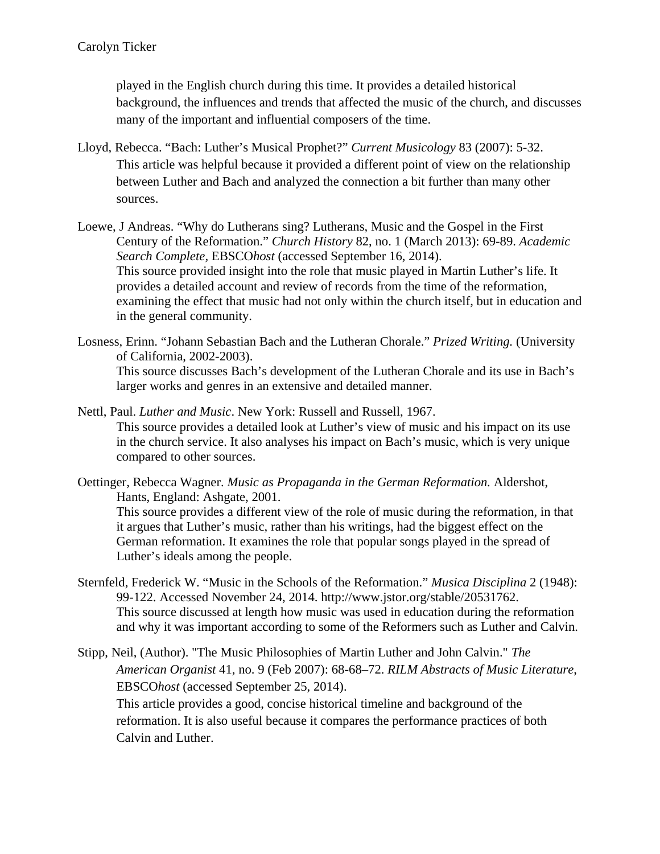played in the English church during this time. It provides a detailed historical background, the influences and trends that affected the music of the church, and discusses many of the important and influential composers of the time.

- Lloyd, Rebecca. "Bach: Luther's Musical Prophet?" *Current Musicology* 83 (2007): 5-32. This article was helpful because it provided a different point of view on the relationship between Luther and Bach and analyzed the connection a bit further than many other sources.
- Loewe, J Andreas. "Why do Lutherans sing? Lutherans, Music and the Gospel in the First Century of the Reformation." *Church History* 82, no. 1 (March 2013): 69-89. *Academic Search Complete,* EBSCO*host* (accessed September 16, 2014). This source provided insight into the role that music played in Martin Luther's life. It provides a detailed account and review of records from the time of the reformation, examining the effect that music had not only within the church itself, but in education and in the general community.

Losness, Erinn. "Johann Sebastian Bach and the Lutheran Chorale." *Prized Writing.* (University of California, 2002-2003). This source discusses Bach's development of the Lutheran Chorale and its use in Bach's larger works and genres in an extensive and detailed manner.

- Nettl, Paul. *Luther and Music*. New York: Russell and Russell, 1967. This source provides a detailed look at Luther's view of music and his impact on its use in the church service. It also analyses his impact on Bach's music, which is very unique compared to other sources.
- Oettinger, Rebecca Wagner. *Music as Propaganda in the German Reformation.* Aldershot, Hants, England: Ashgate, 2001. This source provides a different view of the role of music during the reformation, in that it argues that Luther's music, rather than his writings, had the biggest effect on the German reformation. It examines the role that popular songs played in the spread of Luther's ideals among the people.
- Sternfeld, Frederick W. "Music in the Schools of the Reformation." *Musica Disciplina* 2 (1948): 99-122. Accessed November 24, 2014. http://www.jstor.org/stable/20531762. This source discussed at length how music was used in education during the reformation and why it was important according to some of the Reformers such as Luther and Calvin.
- Stipp, Neil, (Author). "The Music Philosophies of Martin Luther and John Calvin." *The American Organist* 41, no. 9 (Feb 2007): 68-68–72. *RILM Abstracts of Music Literature*, EBSCO*host* (accessed September 25, 2014).

This article provides a good, concise historical timeline and background of the reformation. It is also useful because it compares the performance practices of both Calvin and Luther.